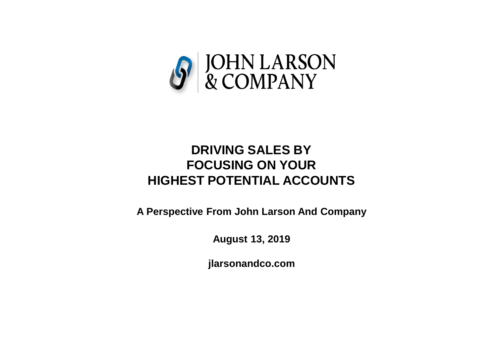

### **DRIVING SALES BY FOCUSING ON YOUR HIGHEST POTENTIAL ACCOUNTS**

**A Perspective From John Larson And Company**

**August 13, 2019**

**jlarsonandco.com**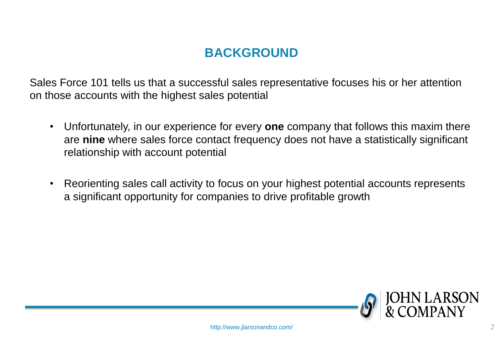### **BACKGROUND**

Sales Force 101 tells us that a successful sales representative focuses his or her attention on those accounts with the highest sales potential

- Unfortunately, in our experience for every **one** company that follows this maxim there are **nine** where sales force contact frequency does not have a statistically significant relationship with account potential
- Reorienting sales call activity to focus on your highest potential accounts represents a significant opportunity for companies to drive profitable growth

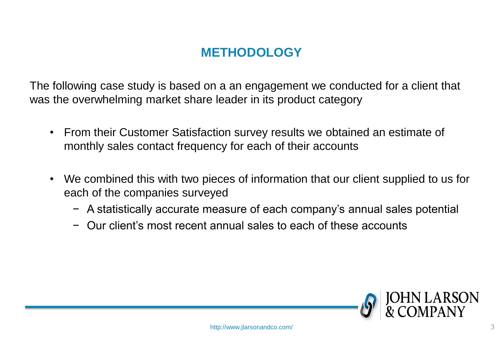# **METHODOLOGY**

The following case study is based on a an engagement we conducted for a client that was the overwhelming market share leader in its product category

- From their Customer Satisfaction survey results we obtained an estimate of monthly sales contact frequency for each of their accounts
- We combined this with two pieces of information that our client supplied to us for each of the companies surveyed
	- − A statistically accurate measure of each company's annual sales potential
	- − Our client's most recent annual sales to each of these accounts

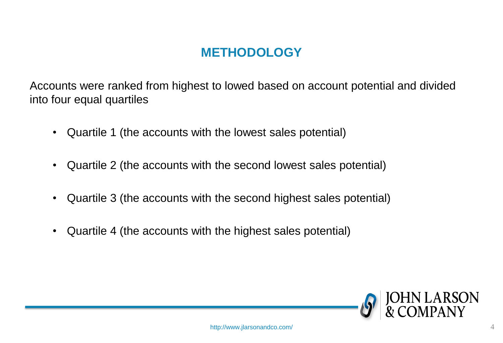# **METHODOLOGY**

Accounts were ranked from highest to lowed based on account potential and divided into four equal quartiles

- Quartile 1 (the accounts with the lowest sales potential)
- Quartile 2 (the accounts with the second lowest sales potential)
- Quartile 3 (the accounts with the second highest sales potential)
- Quartile 4 (the accounts with the highest sales potential)

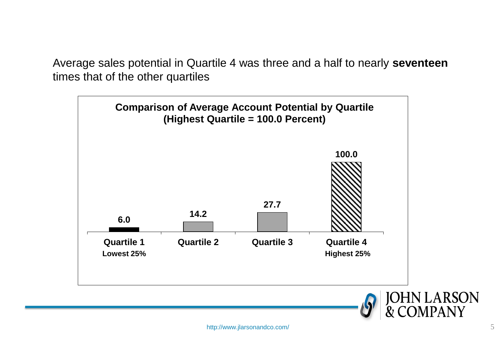Average sales potential in Quartile 4 was three and a half to nearly **seventeen**  times that of the other quartiles



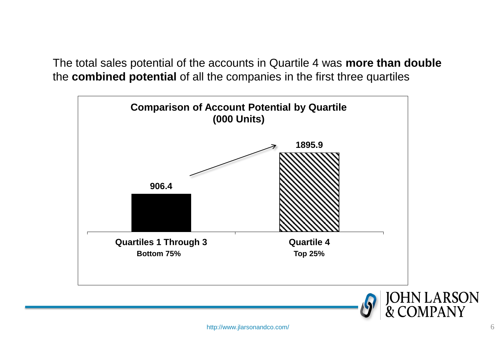The total sales potential of the accounts in Quartile 4 was **more than double**  the **combined potential** of all the companies in the first three quartiles

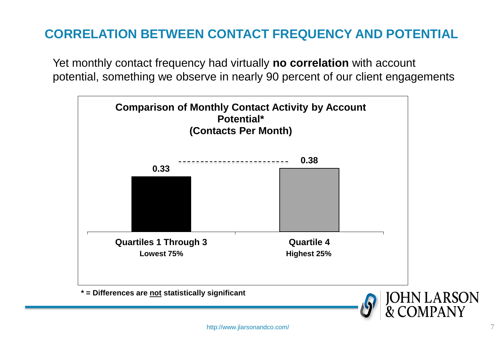### **CORRELATION BETWEEN CONTACT FREQUENCY AND POTENTIAL**

Yet monthly contact frequency had virtually **no correlation** with account potential, something we observe in nearly 90 percent of our client engagements

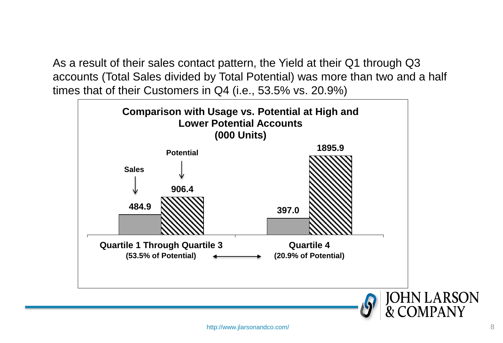As a result of their sales contact pattern, the Yield at their Q1 through Q3 accounts (Total Sales divided by Total Potential) was more than two and a half times that of their Customers in Q4 (i.e., 53.5% vs. 20.9%)

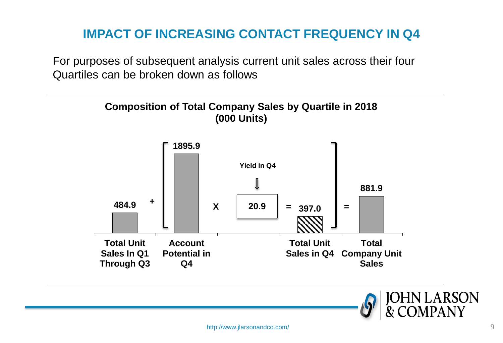### **IMPACT OF INCREASING CONTACT FREQUENCY IN Q4**

For purposes of subsequent analysis current unit sales across their four Quartiles can be broken down as follows



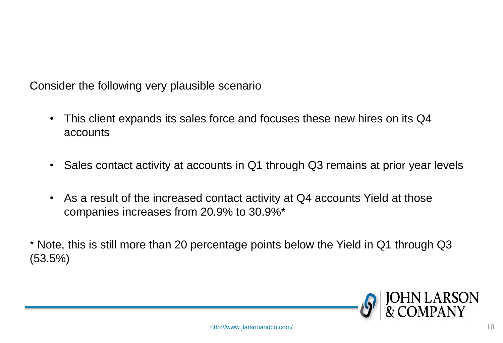Consider the following very plausible scenario

- This client expands its sales force and focuses these new hires on its Q4 accounts
- Sales contact activity at accounts in Q1 through Q3 remains at prior year levels
- As a result of the increased contact activity at Q4 accounts Yield at those companies increases from 20.9% to 30.9%\*
- \* Note, this is still more than 20 percentage points below the Yield in Q1 through Q3 (53.5%)

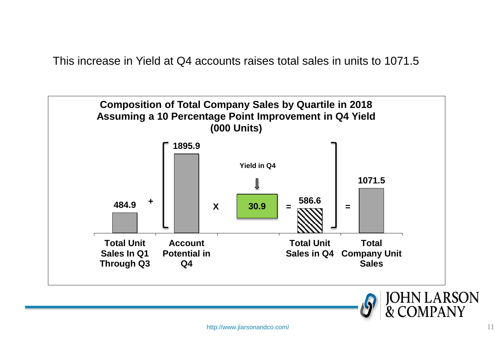This increase in Yield at Q4 accounts raises total sales in units to 1071.5



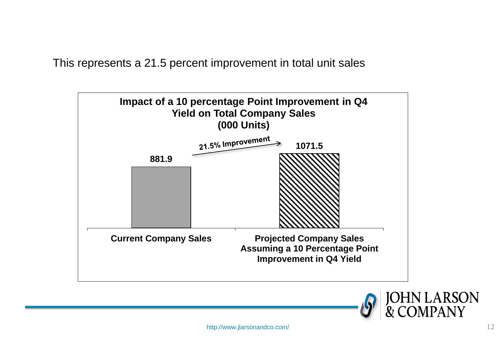This represents a 21.5 percent improvement in total unit sales



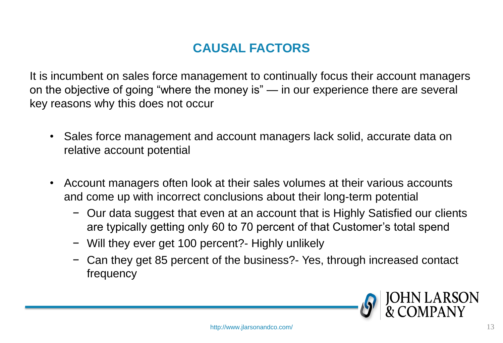# **CAUSAL FACTORS**

It is incumbent on sales force management to continually focus their account managers on the objective of going "where the money is" — in our experience there are several key reasons why this does not occur

- Sales force management and account managers lack solid, accurate data on relative account potential
- Account managers often look at their sales volumes at their various accounts and come up with incorrect conclusions about their long-term potential
	- − Our data suggest that even at an account that is Highly Satisfied our clients are typically getting only 60 to 70 percent of that Customer's total spend
	- − Will they ever get 100 percent?- Highly unlikely
	- − Can they get 85 percent of the business?- Yes, through increased contact frequency

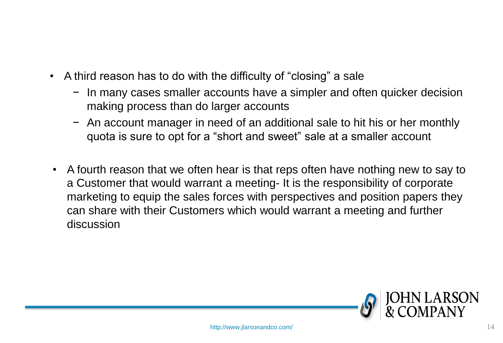- A third reason has to do with the difficulty of "closing" a sale
	- − In many cases smaller accounts have a simpler and often quicker decision making process than do larger accounts
	- − An account manager in need of an additional sale to hit his or her monthly quota is sure to opt for a "short and sweet" sale at a smaller account
- A fourth reason that we often hear is that reps often have nothing new to say to a Customer that would warrant a meeting- It is the responsibility of corporate marketing to equip the sales forces with perspectives and position papers they can share with their Customers which would warrant a meeting and further discussion

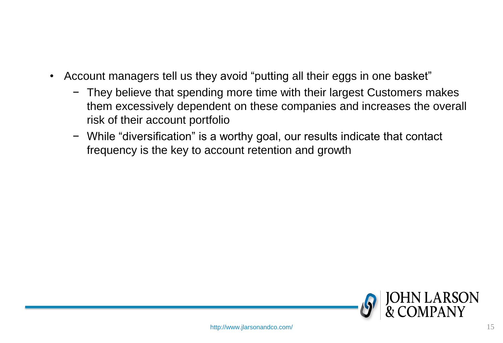- Account managers tell us they avoid "putting all their eggs in one basket"
	- − They believe that spending more time with their largest Customers makes them excessively dependent on these companies and increases the overall risk of their account portfolio
	- − While "diversification" is a worthy goal, our results indicate that contact frequency is the key to account retention and growth